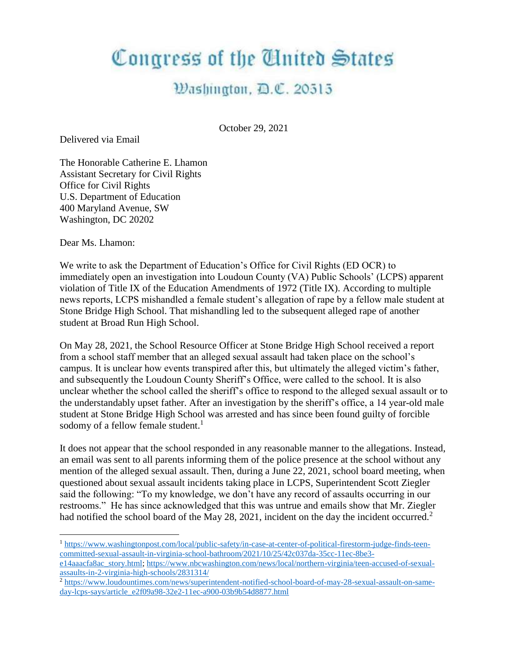## Congress of the United States

## Washington, D.C. 20515

October 29, 2021

Delivered via Email

The Honorable Catherine E. Lhamon Assistant Secretary for Civil Rights Office for Civil Rights U.S. Department of Education 400 Maryland Avenue, SW Washington, DC 20202

Dear Ms. Lhamon:

We write to ask the Department of Education's Office for Civil Rights (ED OCR) to immediately open an investigation into Loudoun County (VA) Public Schools' (LCPS) apparent violation of Title IX of the Education Amendments of 1972 (Title IX). According to multiple news reports, LCPS mishandled a female student's allegation of rape by a fellow male student at Stone Bridge High School. That mishandling led to the subsequent alleged rape of another student at Broad Run High School.

On May 28, 2021, the School Resource Officer at Stone Bridge High School received a report from a school staff member that an alleged sexual assault had taken place on the school's campus. It is unclear how events transpired after this, but ultimately the alleged victim's father, and subsequently the Loudoun County Sheriff's Office, were called to the school. It is also unclear whether the school called the sheriff's office to respond to the alleged sexual assault or to the understandably upset father. After an investigation by the sheriff's office, a 14 year-old male student at Stone Bridge High School was arrested and has since been found guilty of forcible sodomy of a fellow female student.<sup>1</sup>

It does not appear that the school responded in any reasonable manner to the allegations. Instead, an email was sent to all parents informing them of the police presence at the school without any mention of the alleged sexual assault. Then, during a June 22, 2021, school board meeting, when questioned about sexual assault incidents taking place in LCPS, Superintendent Scott Ziegler said the following: "To my knowledge, we don't have any record of assaults occurring in our restrooms." He has since acknowledged that this was untrue and emails show that Mr. Ziegler had notified the school board of the May 28, 2021, incident on the day the incident occurred.<sup>2</sup>

<sup>1</sup> [https://www.washingtonpost.com/local/public-safety/in-case-at-center-of-political-firestorm-judge-finds-teen](https://www.washingtonpost.com/local/public-safety/in-case-at-center-of-political-firestorm-judge-finds-teen-committed-sexual-assault-in-virginia-school-bathroom/2021/10/25/42c037da-35cc-11ec-8be3-e14aaacfa8ac_story.html)[committed-sexual-assault-in-virginia-school-bathroom/2021/10/25/42c037da-35cc-11ec-8be3-](https://www.washingtonpost.com/local/public-safety/in-case-at-center-of-political-firestorm-judge-finds-teen-committed-sexual-assault-in-virginia-school-bathroom/2021/10/25/42c037da-35cc-11ec-8be3-e14aaacfa8ac_story.html)

[e14aaacfa8ac\\_story.html;](https://www.washingtonpost.com/local/public-safety/in-case-at-center-of-political-firestorm-judge-finds-teen-committed-sexual-assault-in-virginia-school-bathroom/2021/10/25/42c037da-35cc-11ec-8be3-e14aaacfa8ac_story.html) [https://www.nbcwashington.com/news/local/northern-virginia/teen-accused-of-sexual](https://www.nbcwashington.com/news/local/northern-virginia/teen-accused-of-sexual-assaults-in-2-virginia-high-schools/2831314/)[assaults-in-2-virginia-high-schools/2831314/](https://www.nbcwashington.com/news/local/northern-virginia/teen-accused-of-sexual-assaults-in-2-virginia-high-schools/2831314/)

<sup>2</sup> [https://www.loudountimes.com/news/superintendent-notified-school-board-of-may-28-sexual-assault-on-same](https://www.loudountimes.com/news/superintendent-notified-school-board-of-may-28-sexual-assault-on-same-day-lcps-says/article_e2f09a98-32e2-11ec-a900-03b9b54d8877.html)[day-lcps-says/article\\_e2f09a98-32e2-11ec-a900-03b9b54d8877.html](https://www.loudountimes.com/news/superintendent-notified-school-board-of-may-28-sexual-assault-on-same-day-lcps-says/article_e2f09a98-32e2-11ec-a900-03b9b54d8877.html)